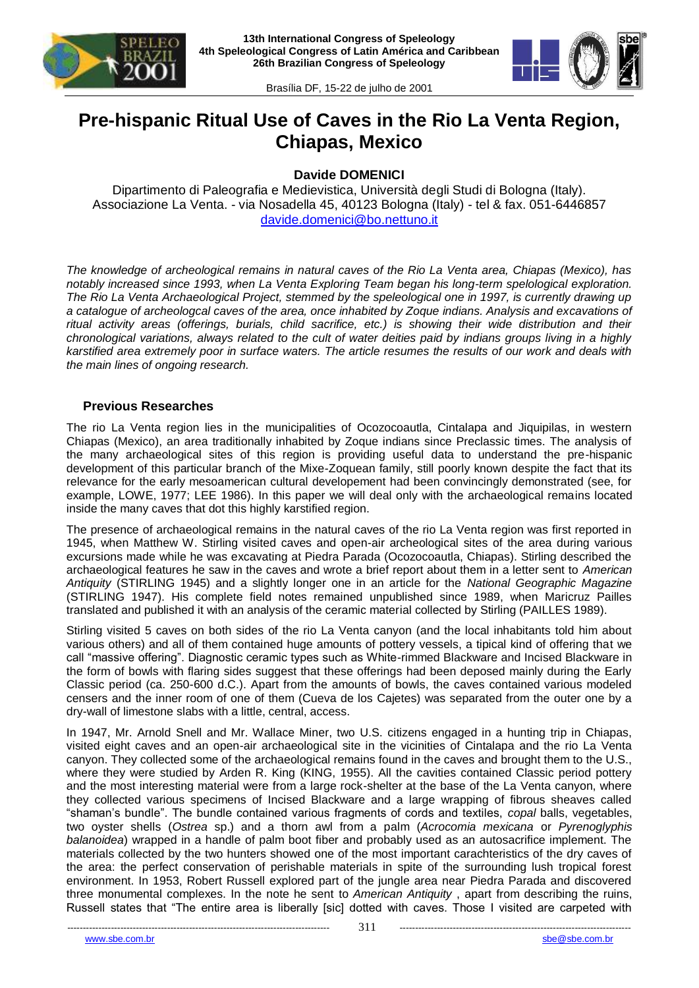



# **Pre-hispanic Ritual Use of Caves in the Rio La Venta Region, Chiapas, Mexico**

**Davide DOMENICI**

Dipartimento di Paleografia e Medievistica, Università degli Studi di Bologna (Italy). Associazione La Venta. - via Nosadella 45, 40123 Bologna (Italy) - tel & fax. 051-6446857 [davide.domenici@bo.nettuno.it](mailto:davide.domenici@bo.nettuno.it)

*The knowledge of archeological remains in natural caves of the Rio La Venta area, Chiapas (Mexico), has notably increased since 1993, when La Venta Exploring Team began his long-term spelological exploration. The Rio La Venta Archaeological Project, stemmed by the speleological one in 1997, is currently drawing up a catalogue of archeologcal caves of the area, once inhabited by Zoque indians. Analysis and excavations of ritual activity areas (offerings, burials, child sacrifice, etc.) is showing their wide distribution and their chronological variations, always related to the cult of water deities paid by indians groups living in a highly karstified area extremely poor in surface waters. The article resumes the results of our work and deals with the main lines of ongoing research.* 

## **Previous Researches**

The rio La Venta region lies in the municipalities of Ocozocoautla, Cintalapa and Jiquipilas, in western Chiapas (Mexico), an area traditionally inhabited by Zoque indians since Preclassic times. The analysis of the many archaeological sites of this region is providing useful data to understand the pre-hispanic development of this particular branch of the Mixe-Zoquean family, still poorly known despite the fact that its relevance for the early mesoamerican cultural developement had been convincingly demonstrated (see, for example, LOWE, 1977; LEE 1986). In this paper we will deal only with the archaeological remains located inside the many caves that dot this highly karstified region.

The presence of archaeological remains in the natural caves of the rio La Venta region was first reported in 1945, when Matthew W. Stirling visited caves and open-air archeological sites of the area during various excursions made while he was excavating at Piedra Parada (Ocozocoautla, Chiapas). Stirling described the archaeological features he saw in the caves and wrote a brief report about them in a letter sent to *American Antiquity* (STIRLING 1945) and a slightly longer one in an article for the *National Geographic Magazine*  (STIRLING 1947). His complete field notes remained unpublished since 1989, when Maricruz Pailles translated and published it with an analysis of the ceramic material collected by Stirling (PAILLES 1989).

Stirling visited 5 caves on both sides of the rio La Venta canyon (and the local inhabitants told him about various others) and all of them contained huge amounts of pottery vessels, a tipical kind of offering that we call "massive offering". Diagnostic ceramic types such as White-rimmed Blackware and Incised Blackware in the form of bowls with flaring sides suggest that these offerings had been deposed mainly during the Early Classic period (ca. 250-600 d.C.). Apart from the amounts of bowls, the caves contained various modeled censers and the inner room of one of them (Cueva de los Cajetes) was separated from the outer one by a dry-wall of limestone slabs with a little, central, access.

In 1947, Mr. Arnold Snell and Mr. Wallace Miner, two U.S. citizens engaged in a hunting trip in Chiapas, visited eight caves and an open-air archaeological site in the vicinities of Cintalapa and the rio La Venta canyon. They collected some of the archaeological remains found in the caves and brought them to the U.S., where they were studied by Arden R. King (KING, 1955). All the cavities contained Classic period pottery and the most interesting material were from a large rock-shelter at the base of the La Venta canyon, where they collected various specimens of Incised Blackware and a large wrapping of fibrous sheaves called "shaman's bundle". The bundle contained various fragments of cords and textiles, *copal* balls, vegetables, two oyster shells (*Ostrea* sp.) and a thorn awl from a palm (*Acrocomia mexicana* or *Pyrenoglyphis balanoidea*) wrapped in a handle of palm boot fiber and probably used as an autosacrifice implement. The materials collected by the two hunters showed one of the most important carachteristics of the dry caves of the area: the perfect conservation of perishable materials in spite of the surrounding lush tropical forest environment. In 1953, Robert Russell explored part of the jungle area near Piedra Parada and discovered three monumental complexes. In the note he sent to *American Antiquity* , apart from describing the ruins, Russell states that "The entire area is liberally [sic] dotted with caves. Those I visited are carpeted with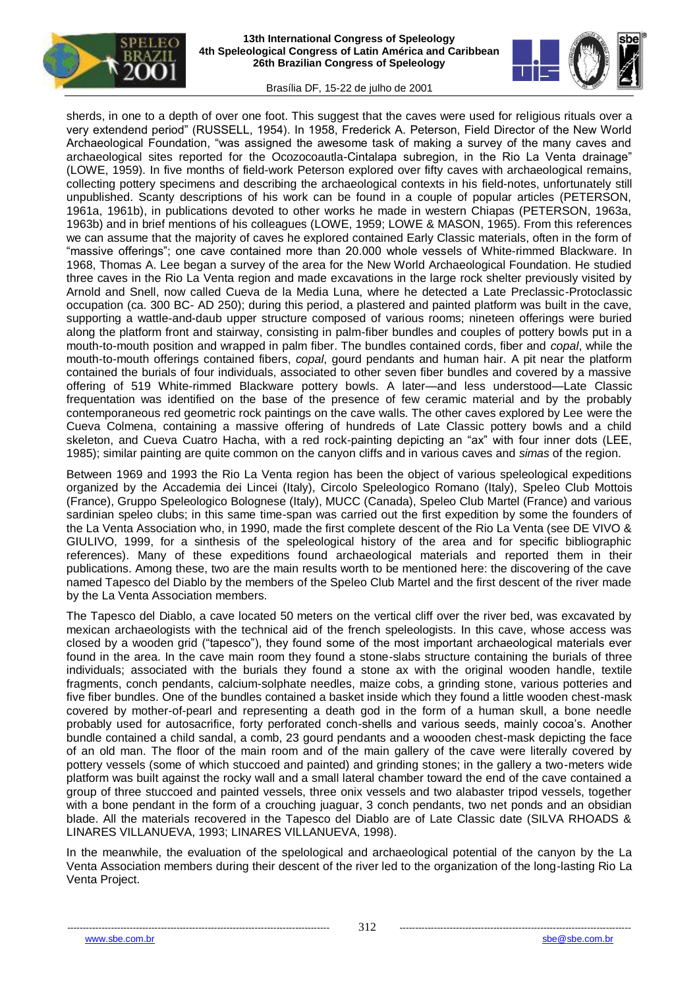



sherds, in one to a depth of over one foot. This suggest that the caves were used for religious rituals over a very extendend period" (RUSSELL, 1954). In 1958, Frederick A. Peterson, Field Director of the New World Archaeological Foundation, "was assigned the awesome task of making a survey of the many caves and archaeological sites reported for the Ocozocoautla-Cintalapa subregion, in the Rio La Venta drainage" (LOWE, 1959). In five months of field-work Peterson explored over fifty caves with archaeological remains, collecting pottery specimens and describing the archaeological contexts in his field-notes, unfortunately still unpublished. Scanty descriptions of his work can be found in a couple of popular articles (PETERSON, 1961a, 1961b), in publications devoted to other works he made in western Chiapas (PETERSON, 1963a, 1963b) and in brief mentions of his colleagues (LOWE, 1959; LOWE & MASON, 1965). From this references we can assume that the majority of caves he explored contained Early Classic materials, often in the form of "massive offerings"; one cave contained more than 20.000 whole vessels of White-rimmed Blackware. In 1968, Thomas A. Lee began a survey of the area for the New World Archaeological Foundation. He studied three caves in the Rio La Venta region and made excavations in the large rock shelter previously visited by Arnold and Snell, now called Cueva de la Media Luna, where he detected a Late Preclassic-Protoclassic occupation (ca. 300 BC- AD 250); during this period, a plastered and painted platform was built in the cave, supporting a wattle-and-daub upper structure composed of various rooms; nineteen offerings were buried along the platform front and stairway, consisting in palm-fiber bundles and couples of pottery bowls put in a mouth-to-mouth position and wrapped in palm fiber. The bundles contained cords, fiber and *copal*, while the mouth-to-mouth offerings contained fibers, *copal*, gourd pendants and human hair. A pit near the platform contained the burials of four individuals, associated to other seven fiber bundles and covered by a massive offering of 519 White-rimmed Blackware pottery bowls. A later—and less understood—Late Classic frequentation was identified on the base of the presence of few ceramic material and by the probably contemporaneous red geometric rock paintings on the cave walls. The other caves explored by Lee were the Cueva Colmena, containing a massive offering of hundreds of Late Classic pottery bowls and a child skeleton, and Cueva Cuatro Hacha, with a red rock-painting depicting an "ax" with four inner dots (LEE, 1985); similar painting are quite common on the canyon cliffs and in various caves and *simas* of the region.

Between 1969 and 1993 the Rio La Venta region has been the object of various speleological expeditions organized by the Accademia dei Lincei (Italy), Circolo Speleologico Romano (Italy), Speleo Club Mottois (France), Gruppo Speleologico Bolognese (Italy), MUCC (Canada), Speleo Club Martel (France) and various sardinian speleo clubs; in this same time-span was carried out the first expedition by some the founders of the La Venta Association who, in 1990, made the first complete descent of the Rio La Venta (see DE VIVO & GIULIVO, 1999, for a sinthesis of the speleological history of the area and for specific bibliographic references). Many of these expeditions found archaeological materials and reported them in their publications. Among these, two are the main results worth to be mentioned here: the discovering of the cave named Tapesco del Diablo by the members of the Speleo Club Martel and the first descent of the river made by the La Venta Association members.

The Tapesco del Diablo, a cave located 50 meters on the vertical cliff over the river bed, was excavated by mexican archaeologists with the technical aid of the french speleologists. In this cave, whose access was closed by a wooden grid ("tapesco"), they found some of the most important archaeological materials ever found in the area. In the cave main room they found a stone-slabs structure containing the burials of three individuals; associated with the burials they found a stone ax with the original wooden handle, textile fragments, conch pendants, calcium-solphate needles, maize cobs, a grinding stone, various potteries and five fiber bundles. One of the bundles contained a basket inside which they found a little wooden chest-mask covered by mother-of-pearl and representing a death god in the form of a human skull, a bone needle probably used for autosacrifice, forty perforated conch-shells and various seeds, mainly cocoa's. Another bundle contained a child sandal, a comb, 23 gourd pendants and a woooden chest-mask depicting the face of an old man. The floor of the main room and of the main gallery of the cave were literally covered by pottery vessels (some of which stuccoed and painted) and grinding stones; in the gallery a two-meters wide platform was built against the rocky wall and a small lateral chamber toward the end of the cave contained a group of three stuccoed and painted vessels, three onix vessels and two alabaster tripod vessels, together with a bone pendant in the form of a crouching juaguar, 3 conch pendants, two net ponds and an obsidian blade. All the materials recovered in the Tapesco del Diablo are of Late Classic date (SILVA RHOADS & LINARES VILLANUEVA, 1993; LINARES VILLANUEVA, 1998).

In the meanwhile, the evaluation of the spelological and archaeological potential of the canyon by the La Venta Association members during their descent of the river led to the organization of the long-lasting Rio La Venta Project.

www.sbe.com.br sbe@sbe.com.br sbe@sbe.com.br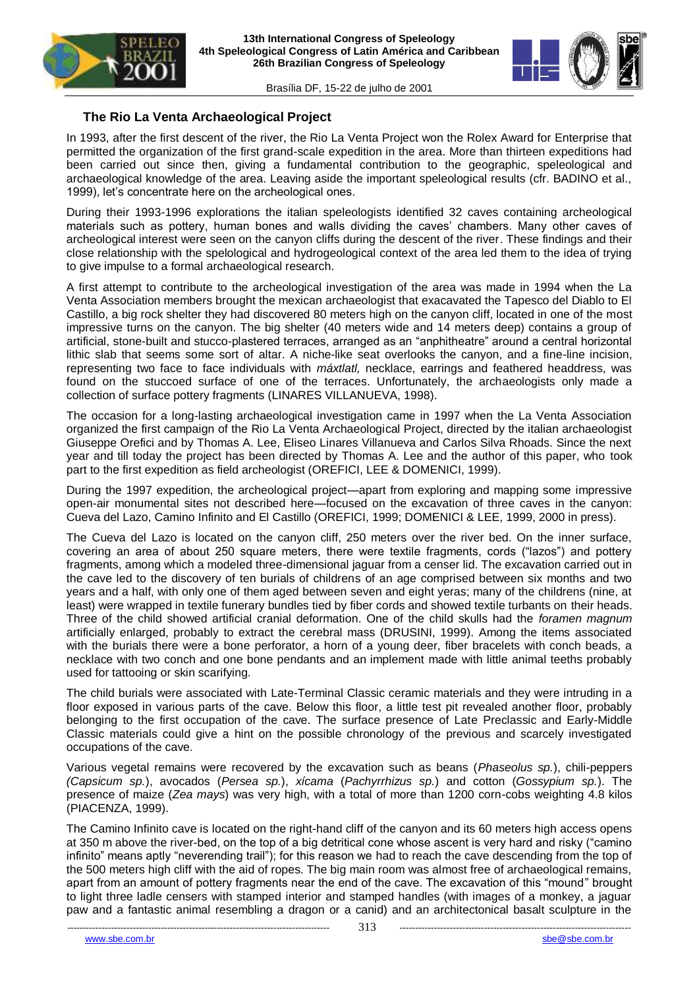



# **The Rio La Venta Archaeological Project**

In 1993, after the first descent of the river, the Rio La Venta Project won the Rolex Award for Enterprise that permitted the organization of the first grand-scale expedition in the area. More than thirteen expeditions had been carried out since then, giving a fundamental contribution to the geographic, speleological and archaeological knowledge of the area. Leaving aside the important speleological results (cfr. BADINO et al., 1999), let's concentrate here on the archeological ones.

During their 1993-1996 explorations the italian speleologists identified 32 caves containing archeological materials such as pottery, human bones and walls dividing the caves' chambers. Many other caves of archeological interest were seen on the canyon cliffs during the descent of the river. These findings and their close relationship with the spelological and hydrogeological context of the area led them to the idea of trying to give impulse to a formal archaeological research.

A first attempt to contribute to the archeological investigation of the area was made in 1994 when the La Venta Association members brought the mexican archaeologist that exacavated the Tapesco del Diablo to El Castillo, a big rock shelter they had discovered 80 meters high on the canyon cliff, located in one of the most impressive turns on the canyon. The big shelter (40 meters wide and 14 meters deep) contains a group of artificial, stone-built and stucco-plastered terraces, arranged as an "anphitheatre" around a central horizontal lithic slab that seems some sort of altar. A niche-like seat overlooks the canyon, and a fine-line incision, representing two face to face individuals with *máxtlatl,* necklace, earrings and feathered headdress, was found on the stuccoed surface of one of the terraces. Unfortunately, the archaeologists only made a collection of surface pottery fragments (LINARES VILLANUEVA, 1998).

The occasion for a long-lasting archaeological investigation came in 1997 when the La Venta Association organized the first campaign of the Rio La Venta Archaeological Project, directed by the italian archaeologist Giuseppe Orefici and by Thomas A. Lee, Eliseo Linares Villanueva and Carlos Silva Rhoads. Since the next year and till today the project has been directed by Thomas A. Lee and the author of this paper, who took part to the first expedition as field archeologist (OREFICI, LEE & DOMENICI, 1999).

During the 1997 expedition, the archeological project—apart from exploring and mapping some impressive open-air monumental sites not described here—focused on the excavation of three caves in the canyon: Cueva del Lazo, Camino Infinito and El Castillo (OREFICI, 1999; DOMENICI & LEE, 1999, 2000 in press).

The Cueva del Lazo is located on the canyon cliff, 250 meters over the river bed. On the inner surface, covering an area of about 250 square meters, there were textile fragments, cords ("lazos") and pottery fragments, among which a modeled three-dimensional jaguar from a censer lid. The excavation carried out in the cave led to the discovery of ten burials of childrens of an age comprised between six months and two years and a half, with only one of them aged between seven and eight yeras; many of the childrens (nine, at least) were wrapped in textile funerary bundles tied by fiber cords and showed textile turbants on their heads. Three of the child showed artificial cranial deformation. One of the child skulls had the *foramen magnum*  artificially enlarged, probably to extract the cerebral mass (DRUSINI, 1999). Among the items associated with the burials there were a bone perforator, a horn of a young deer, fiber bracelets with conch beads, a necklace with two conch and one bone pendants and an implement made with little animal teeths probably used for tattooing or skin scarifying.

The child burials were associated with Late-Terminal Classic ceramic materials and they were intruding in a floor exposed in various parts of the cave. Below this floor, a little test pit revealed another floor, probably belonging to the first occupation of the cave. The surface presence of Late Preclassic and Early-Middle Classic materials could give a hint on the possible chronology of the previous and scarcely investigated occupations of the cave.

Various vegetal remains were recovered by the excavation such as beans (*Phaseolus sp.*), chili-peppers *(Capsicum sp.*), avocados (*Persea sp.*), *xícama* (*Pachyrrhizus sp.*) and cotton (*Gossypium sp.*). The presence of maize (*Zea mays*) was very high, with a total of more than 1200 corn-cobs weighting 4.8 kilos (PIACENZA, 1999).

The Camino Infinito cave is located on the right-hand cliff of the canyon and its 60 meters high access opens at 350 m above the river-bed, on the top of a big detritical cone whose ascent is very hard and risky ("camino infinito" means aptly "neverending trail"); for this reason we had to reach the cave descending from the top of the 500 meters high cliff with the aid of ropes. The big main room was almost free of archaeological remains, apart from an amount of pottery fragments near the end of the cave. The excavation of this "mound" brought to light three ladle censers with stamped interior and stamped handles (with images of a monkey, a jaguar paw and a fantastic animal resembling a dragon or a canid) and an architectonical basalt sculpture in the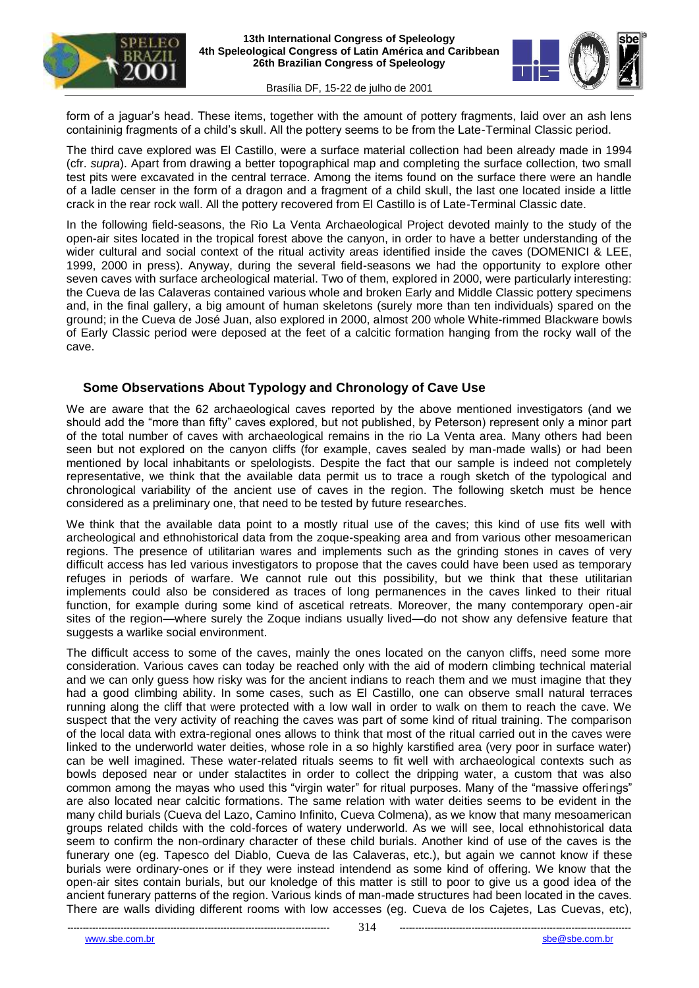



form of a jaguar's head. These items, together with the amount of pottery fragments, laid over an ash lens containinig fragments of a child's skull. All the pottery seems to be from the Late-Terminal Classic period.

The third cave explored was El Castillo, were a surface material collection had been already made in 1994 (cfr. *supra*). Apart from drawing a better topographical map and completing the surface collection, two small test pits were excavated in the central terrace. Among the items found on the surface there were an handle of a ladle censer in the form of a dragon and a fragment of a child skull, the last one located inside a little crack in the rear rock wall. All the pottery recovered from El Castillo is of Late-Terminal Classic date.

In the following field-seasons, the Rio La Venta Archaeological Project devoted mainly to the study of the open-air sites located in the tropical forest above the canyon, in order to have a better understanding of the wider cultural and social context of the ritual activity areas identified inside the caves (DOMENICI & LEE, 1999, 2000 in press). Anyway, during the several field-seasons we had the opportunity to explore other seven caves with surface archeological material. Two of them, explored in 2000, were particularly interesting: the Cueva de las Calaveras contained various whole and broken Early and Middle Classic pottery specimens and, in the final gallery, a big amount of human skeletons (surely more than ten individuals) spared on the ground; in the Cueva de José Juan, also explored in 2000, almost 200 whole White-rimmed Blackware bowls of Early Classic period were deposed at the feet of a calcitic formation hanging from the rocky wall of the cave.

#### **Some Observations About Typology and Chronology of Cave Use**

We are aware that the 62 archaeological caves reported by the above mentioned investigators (and we should add the "more than fifty" caves explored, but not published, by Peterson) represent only a minor part of the total number of caves with archaeological remains in the rio La Venta area. Many others had been seen but not explored on the canyon cliffs (for example, caves sealed by man-made walls) or had been mentioned by local inhabitants or spelologists. Despite the fact that our sample is indeed not completely representative, we think that the available data permit us to trace a rough sketch of the typological and chronological variability of the ancient use of caves in the region. The following sketch must be hence considered as a preliminary one, that need to be tested by future researches.

We think that the available data point to a mostly ritual use of the caves; this kind of use fits well with archeological and ethnohistorical data from the zoque-speaking area and from various other mesoamerican regions. The presence of utilitarian wares and implements such as the grinding stones in caves of very difficult access has led various investigators to propose that the caves could have been used as temporary refuges in periods of warfare. We cannot rule out this possibility, but we think that these utilitarian implements could also be considered as traces of long permanences in the caves linked to their ritual function, for example during some kind of ascetical retreats. Moreover, the many contemporary open-air sites of the region—where surely the Zoque indians usually lived—do not show any defensive feature that suggests a warlike social environment.

The difficult access to some of the caves, mainly the ones located on the canyon cliffs, need some more consideration. Various caves can today be reached only with the aid of modern climbing technical material and we can only guess how risky was for the ancient indians to reach them and we must imagine that they had a good climbing ability. In some cases, such as El Castillo, one can observe small natural terraces running along the cliff that were protected with a low wall in order to walk on them to reach the cave. We suspect that the very activity of reaching the caves was part of some kind of ritual training. The comparison of the local data with extra-regional ones allows to think that most of the ritual carried out in the caves were linked to the underworld water deities, whose role in a so highly karstified area (very poor in surface water) can be well imagined. These water-related rituals seems to fit well with archaeological contexts such as bowls deposed near or under stalactites in order to collect the dripping water, a custom that was also common among the mayas who used this "virgin water" for ritual purposes. Many of the "massive offerings" are also located near calcitic formations. The same relation with water deities seems to be evident in the many child burials (Cueva del Lazo, Camino Infinito, Cueva Colmena), as we know that many mesoamerican groups related childs with the cold-forces of watery underworld. As we will see, local ethnohistorical data seem to confirm the non-ordinary character of these child burials. Another kind of use of the caves is the funerary one (eg. Tapesco del Diablo, Cueva de las Calaveras, etc.), but again we cannot know if these burials were ordinary-ones or if they were instead intendend as some kind of offering. We know that the open-air sites contain burials, but our knoledge of this matter is still to poor to give us a good idea of the ancient funerary patterns of the region. Various kinds of man-made structures had been located in the caves. There are walls dividing different rooms with low accesses (eg. Cueva de los Cajetes, Las Cuevas, etc),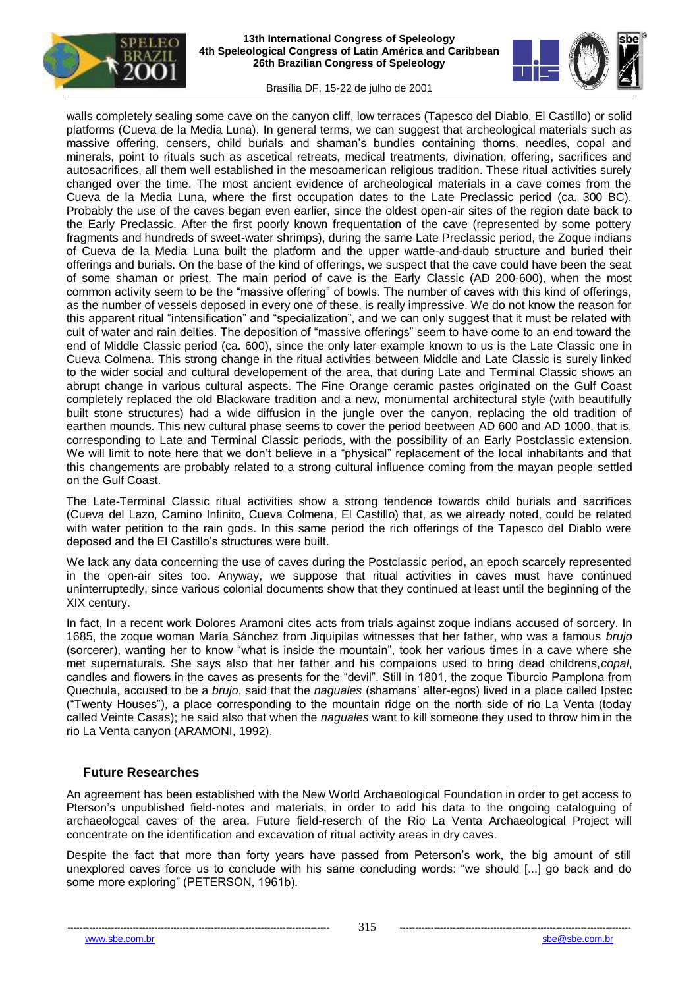



walls completely sealing some cave on the canyon cliff, low terraces (Tapesco del Diablo, El Castillo) or solid platforms (Cueva de la Media Luna). In general terms, we can suggest that archeological materials such as massive offering, censers, child burials and shaman's bundles containing thorns, needles, copal and minerals, point to rituals such as ascetical retreats, medical treatments, divination, offering, sacrifices and autosacrifices, all them well established in the mesoamerican religious tradition. These ritual activities surely changed over the time. The most ancient evidence of archeological materials in a cave comes from the Cueva de la Media Luna, where the first occupation dates to the Late Preclassic period (ca. 300 BC). Probably the use of the caves began even earlier, since the oldest open-air sites of the region date back to the Early Preclassic. After the first poorly known frequentation of the cave (represented by some pottery fragments and hundreds of sweet-water shrimps), during the same Late Preclassic period, the Zoque indians of Cueva de la Media Luna built the platform and the upper wattle-and-daub structure and buried their offerings and burials. On the base of the kind of offerings, we suspect that the cave could have been the seat of some shaman or priest. The main period of cave is the Early Classic (AD 200-600), when the most common activity seem to be the "massive offering" of bowls. The number of caves with this kind of offerings, as the number of vessels deposed in every one of these, is really impressive. We do not know the reason for this apparent ritual "intensification" and "specialization", and we can only suggest that it must be related with cult of water and rain deities. The deposition of "massive offerings" seem to have come to an end toward the end of Middle Classic period (ca. 600), since the only later example known to us is the Late Classic one in Cueva Colmena. This strong change in the ritual activities between Middle and Late Classic is surely linked to the wider social and cultural developement of the area, that during Late and Terminal Classic shows an abrupt change in various cultural aspects. The Fine Orange ceramic pastes originated on the Gulf Coast completely replaced the old Blackware tradition and a new, monumental architectural style (with beautifully built stone structures) had a wide diffusion in the jungle over the canyon, replacing the old tradition of earthen mounds. This new cultural phase seems to cover the period beetween AD 600 and AD 1000, that is, corresponding to Late and Terminal Classic periods, with the possibility of an Early Postclassic extension. We will limit to note here that we don't believe in a "physical" replacement of the local inhabitants and that this changements are probably related to a strong cultural influence coming from the mayan people settled on the Gulf Coast.

The Late-Terminal Classic ritual activities show a strong tendence towards child burials and sacrifices (Cueva del Lazo, Camino Infinito, Cueva Colmena, El Castillo) that, as we already noted, could be related with water petition to the rain gods. In this same period the rich offerings of the Tapesco del Diablo were deposed and the El Castillo's structures were built.

We lack any data concerning the use of caves during the Postclassic period, an epoch scarcely represented in the open-air sites too. Anyway, we suppose that ritual activities in caves must have continued uninterruptedly, since various colonial documents show that they continued at least until the beginning of the XIX century.

In fact, In a recent work Dolores Aramoni cites acts from trials against zoque indians accused of sorcery. In 1685, the zoque woman María Sánchez from Jiquipilas witnesses that her father, who was a famous *brujo*  (sorcerer), wanting her to know "what is inside the mountain", took her various times in a cave where she met supernaturals. She says also that her father and his compaions used to bring dead childrens,*copal*, candles and flowers in the caves as presents for the "devil". Still in 1801, the zoque Tiburcio Pamplona from Quechula, accused to be a *brujo*, said that the *naguales* (shamans' alter-egos) lived in a place called Ipstec ("Twenty Houses"), a place corresponding to the mountain ridge on the north side of rio La Venta (today called Veinte Casas); he said also that when the *naguales* want to kill someone they used to throw him in the rio La Venta canyon (ARAMONI, 1992).

## **Future Researches**

An agreement has been established with the New World Archaeological Foundation in order to get access to Pterson's unpublished field-notes and materials, in order to add his data to the ongoing cataloguing of archaeologcal caves of the area. Future field-reserch of the Rio La Venta Archaeological Project will concentrate on the identification and excavation of ritual activity areas in dry caves.

Despite the fact that more than forty years have passed from Peterson's work, the big amount of still unexplored caves force us to conclude with his same concluding words: "we should [...] go back and do some more exploring" (PETERSON, 1961b).

www.sbe.com.br sbe@sbe.com.br sbe@sbe.com.br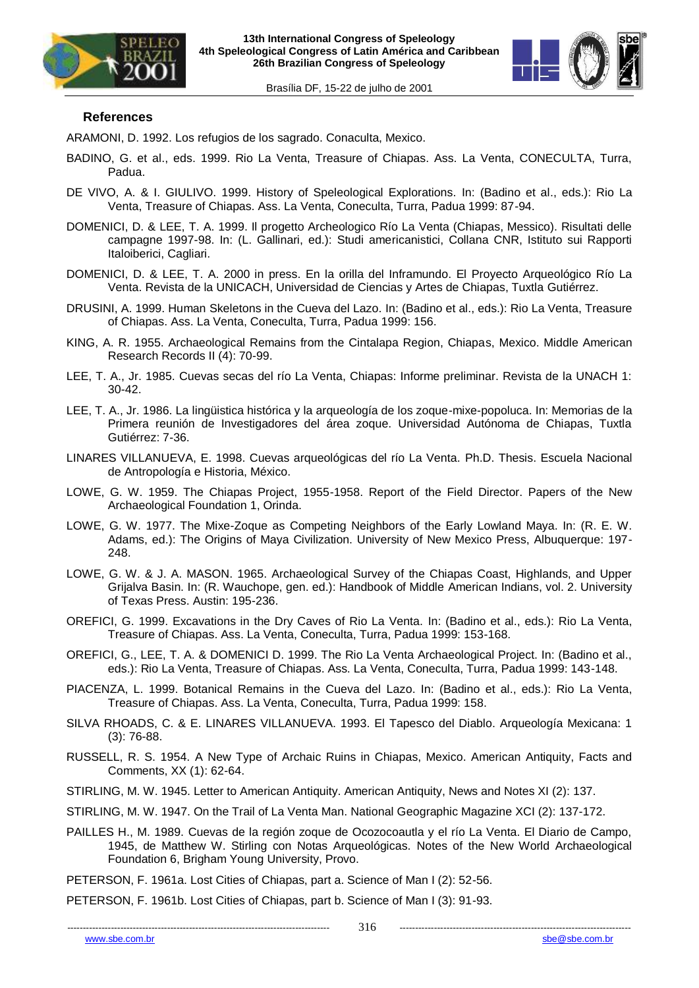





#### **References**

ARAMONI, D. 1992. Los refugios de los sagrado. Conaculta, Mexico.

- BADINO, G. et al., eds. 1999. Rio La Venta, Treasure of Chiapas. Ass. La Venta, CONECULTA, Turra, Padua.
- DE VIVO, A. & I. GIULIVO. 1999. History of Speleological Explorations. In: (Badino et al., eds.): Rio La Venta, Treasure of Chiapas. Ass. La Venta, Coneculta, Turra, Padua 1999: 87-94.
- DOMENICI, D. & LEE, T. A. 1999. Il progetto Archeologico Río La Venta (Chiapas, Messico). Risultati delle campagne 1997-98. In: (L. Gallinari, ed.): Studi americanistici, Collana CNR, Istituto sui Rapporti Italoiberici, Cagliari.
- DOMENICI, D. & LEE, T. A. 2000 in press. En la orilla del Inframundo. El Proyecto Arqueológico Río La Venta. Revista de la UNICACH, Universidad de Ciencias y Artes de Chiapas, Tuxtla Gutiérrez.
- DRUSINI, A. 1999. Human Skeletons in the Cueva del Lazo. In: (Badino et al., eds.): Rio La Venta, Treasure of Chiapas. Ass. La Venta, Coneculta, Turra, Padua 1999: 156.
- KING, A. R. 1955. Archaeological Remains from the Cintalapa Region, Chiapas, Mexico. Middle American Research Records II (4): 70-99.
- LEE, T. A., Jr. 1985. Cuevas secas del río La Venta, Chiapas: Informe preliminar. Revista de la UNACH 1: 30-42.
- LEE, T. A., Jr. 1986. La lingüistica histórica y la arqueología de los zoque-mixe-popoluca. In: Memorias de la Primera reunión de Investigadores del área zoque. Universidad Autónoma de Chiapas, Tuxtla Gutiérrez: 7-36.
- LINARES VILLANUEVA, E. 1998. Cuevas arqueológicas del río La Venta. Ph.D. Thesis. Escuela Nacional de Antropología e Historia, México.
- LOWE, G. W. 1959. The Chiapas Project, 1955-1958. Report of the Field Director. Papers of the New Archaeological Foundation 1, Orinda.
- LOWE, G. W. 1977. The Mixe-Zoque as Competing Neighbors of the Early Lowland Maya. In: (R. E. W. Adams, ed.): The Origins of Maya Civilization. University of New Mexico Press, Albuquerque: 197- 248.
- LOWE, G. W. & J. A. MASON. 1965. Archaeological Survey of the Chiapas Coast, Highlands, and Upper Grijalva Basin. In: (R. Wauchope, gen. ed.): Handbook of Middle American Indians, vol. 2. University of Texas Press. Austin: 195-236.
- OREFICI, G. 1999. Excavations in the Dry Caves of Rio La Venta. In: (Badino et al., eds.): Rio La Venta, Treasure of Chiapas. Ass. La Venta, Coneculta, Turra, Padua 1999: 153-168.
- OREFICI, G., LEE, T. A. & DOMENICI D. 1999. The Rio La Venta Archaeological Project. In: (Badino et al., eds.): Rio La Venta, Treasure of Chiapas. Ass. La Venta, Coneculta, Turra, Padua 1999: 143-148.
- PIACENZA, L. 1999. Botanical Remains in the Cueva del Lazo. In: (Badino et al., eds.): Rio La Venta, Treasure of Chiapas. Ass. La Venta, Coneculta, Turra, Padua 1999: 158.
- SILVA RHOADS, C. & E. LINARES VILLANUEVA. 1993. El Tapesco del Diablo. Arqueología Mexicana: 1 (3): 76-88.
- RUSSELL, R. S. 1954. A New Type of Archaic Ruins in Chiapas, Mexico. American Antiquity, Facts and Comments, XX (1): 62-64.
- STIRLING, M. W. 1945. Letter to American Antiquity. American Antiquity, News and Notes XI (2): 137.
- STIRLING, M. W. 1947. On the Trail of La Venta Man. National Geographic Magazine XCI (2): 137-172.
- PAILLES H., M. 1989. Cuevas de la región zoque de Ocozocoautla y el río La Venta. El Diario de Campo, 1945, de Matthew W. Stirling con Notas Arqueológicas. Notes of the New World Archaeological Foundation 6, Brigham Young University, Provo.
- PETERSON, F. 1961a. Lost Cities of Chiapas, part a. Science of Man I (2): 52-56.

PETERSON, F. 1961b. Lost Cities of Chiapas, part b. Science of Man I (3): 91-93.